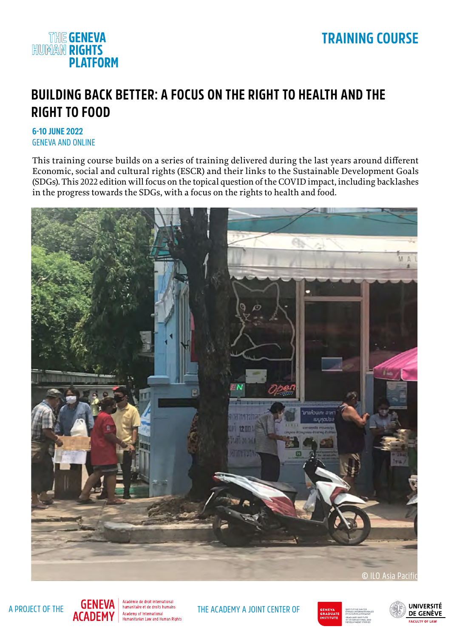# **TRAINING COURSE**



# **BUILDING BACK BETTER: A FOCUS ON THE RIGHT TO HEALTH AND THE RIGHT TO FOOD**

### **6-10 JUNE 2022** GENEVA AND ONLINE

This training course builds on a series of training delivered during the last years around different Economic, social and cultural rights (ESCR) and their links to the Sustainable Development Goals (SDGs). This 2022 edition will focus on the topical question of the COVID impact, including backlashes in the progress towards the SDGs, with a focus on the rights to health and food.





Académie de droit international A PROJECT OF THE **GENEVA** Académie de droit international<br>A PROJECT OF THE **ACADEMY** A JOINT CENTER OF **Humanitarian Law and Human Rights**